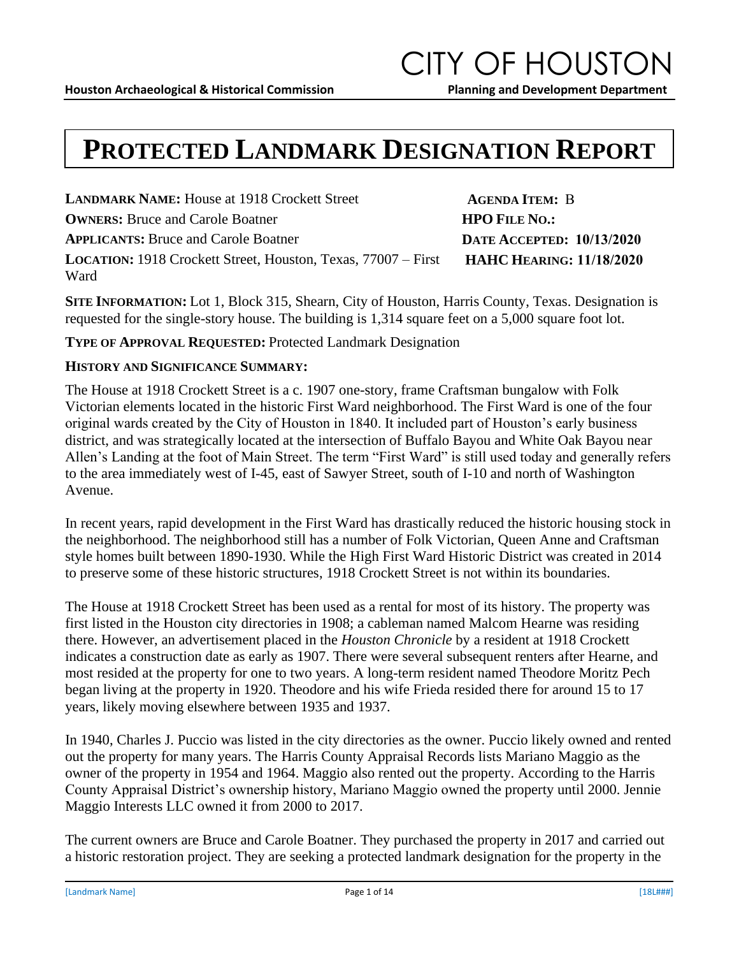### **PROTECTED LANDMARK DESIGNATION REPORT**

**LANDMARK NAME:** House at 1918 Crockett Street **OWNERS:** Bruce and Carole Boatner **APPLICANTS:** Bruce and Carole Boatner **LOCATION:** 1918 Crockett Street, Houston, Texas, 77007 – First Ward

**SITE INFORMATION:** Lot 1, Block 315, Shearn, City of Houston, Harris County, Texas. Designation is requested for the single-story house. The building is 1,314 square feet on a 5,000 square foot lot.

### **TYPE OF APPROVAL REQUESTED:** Protected Landmark Designation

#### **HISTORY AND SIGNIFICANCE SUMMARY:**

The House at 1918 Crockett Street is a c. 1907 one-story, frame Craftsman bungalow with Folk Victorian elements located in the historic First Ward neighborhood. The First Ward is one of the four original wards created by the City of Houston in 1840. It included part of Houston's early business district, and was strategically located at the intersection of Buffalo Bayou and White Oak Bayou near Allen's Landing at the foot of Main Street. The term "First Ward" is still used today and generally refers to the area immediately west of I-45, east of Sawyer Street, south of I-10 and north of Washington Avenue.

In recent years, rapid development in the First Ward has drastically reduced the historic housing stock in the neighborhood. The neighborhood still has a number of Folk Victorian, Queen Anne and Craftsman style homes built between 1890-1930. While the High First Ward Historic District was created in 2014 to preserve some of these historic structures, 1918 Crockett Street is not within its boundaries.

The House at 1918 Crockett Street has been used as a rental for most of its history. The property was first listed in the Houston city directories in 1908; a cableman named Malcom Hearne was residing there. However, an advertisement placed in the *Houston Chronicle* by a resident at 1918 Crockett indicates a construction date as early as 1907. There were several subsequent renters after Hearne, and most resided at the property for one to two years. A long-term resident named Theodore Moritz Pech began living at the property in 1920. Theodore and his wife Frieda resided there for around 15 to 17 years, likely moving elsewhere between 1935 and 1937.

In 1940, Charles J. Puccio was listed in the city directories as the owner. Puccio likely owned and rented out the property for many years. The Harris County Appraisal Records lists Mariano Maggio as the owner of the property in 1954 and 1964. Maggio also rented out the property. According to the Harris County Appraisal District's ownership history, Mariano Maggio owned the property until 2000. Jennie Maggio Interests LLC owned it from 2000 to 2017.

The current owners are Bruce and Carole Boatner. They purchased the property in 2017 and carried out a historic restoration project. They are seeking a protected landmark designation for the property in the

**AGENDA ITEM:** B **HPO FILE NO.: DATE ACCEPTED: 10/13/2020 HAHC HEARING: 11/18/2020**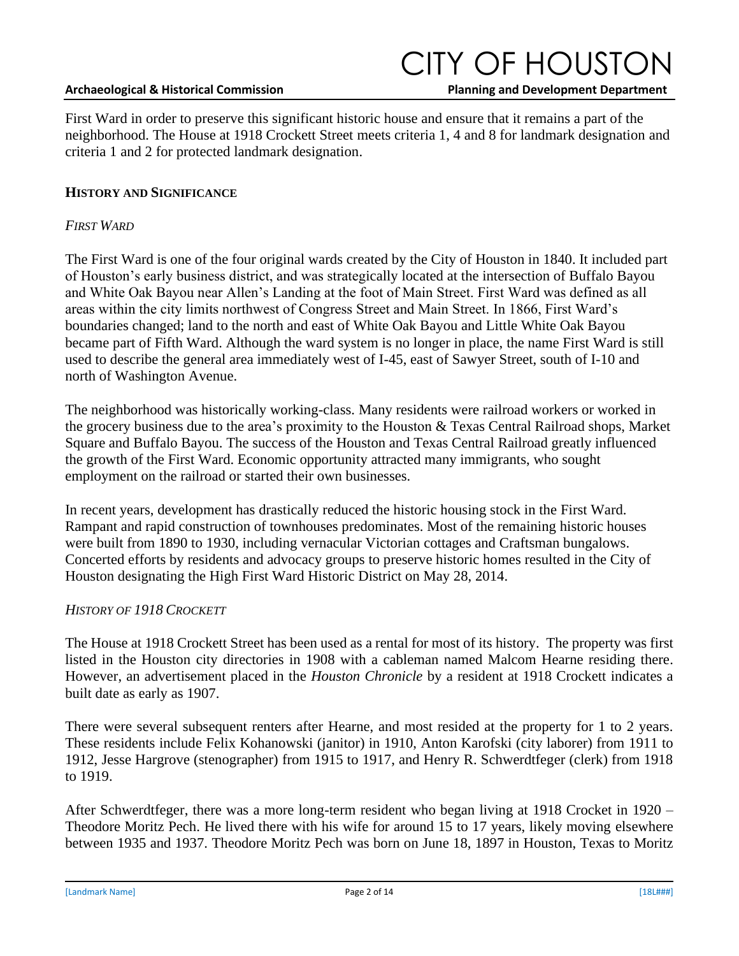#### **Archaeological & Historical Commission \_ \_\_ Planning and Development Department**

## CITY OF HOUSTON

First Ward in order to preserve this significant historic house and ensure that it remains a part of the neighborhood. The House at 1918 Crockett Street meets criteria 1, 4 and 8 for landmark designation and criteria 1 and 2 for protected landmark designation.

### **HISTORY AND SIGNIFICANCE**

### *FIRST WARD*

The First Ward is one of the four original wards created by the City of Houston in 1840. It included part of Houston's early business district, and was strategically located at the intersection of Buffalo Bayou and White Oak Bayou near Allen's Landing at the foot of Main Street. First Ward was defined as all areas within the city limits northwest of Congress Street and Main Street. In 1866, First Ward's boundaries changed; land to the north and east of White Oak Bayou and Little White Oak Bayou became part of Fifth Ward. Although the ward system is no longer in place, the name First Ward is still used to describe the general area immediately west of I-45, east of Sawyer Street, south of I-10 and north of Washington Avenue.

The neighborhood was historically working-class. Many residents were railroad workers or worked in the grocery business due to the area's proximity to the Houston & Texas Central Railroad shops, Market Square and Buffalo Bayou. The success of the Houston and Texas Central Railroad greatly influenced the growth of the First Ward. Economic opportunity attracted many immigrants, who sought employment on the railroad or started their own businesses.

In recent years, development has drastically reduced the historic housing stock in the First Ward. Rampant and rapid construction of townhouses predominates. Most of the remaining historic houses were built from 1890 to 1930, including vernacular Victorian cottages and Craftsman bungalows. Concerted efforts by residents and advocacy groups to preserve historic homes resulted in the City of Houston designating the High First Ward Historic District on May 28, 2014.

### *HISTORY OF 1918 CROCKETT*

The House at 1918 Crockett Street has been used as a rental for most of its history. The property was first listed in the Houston city directories in 1908 with a cableman named Malcom Hearne residing there. However, an advertisement placed in the *Houston Chronicle* by a resident at 1918 Crockett indicates a built date as early as 1907.

There were several subsequent renters after Hearne, and most resided at the property for 1 to 2 years. These residents include Felix Kohanowski (janitor) in 1910, Anton Karofski (city laborer) from 1911 to 1912, Jesse Hargrove (stenographer) from 1915 to 1917, and Henry R. Schwerdtfeger (clerk) from 1918 to 1919.

After Schwerdtfeger, there was a more long-term resident who began living at 1918 Crocket in 1920 – Theodore Moritz Pech. He lived there with his wife for around 15 to 17 years, likely moving elsewhere between 1935 and 1937. Theodore Moritz Pech was born on June 18, 1897 in Houston, Texas to Moritz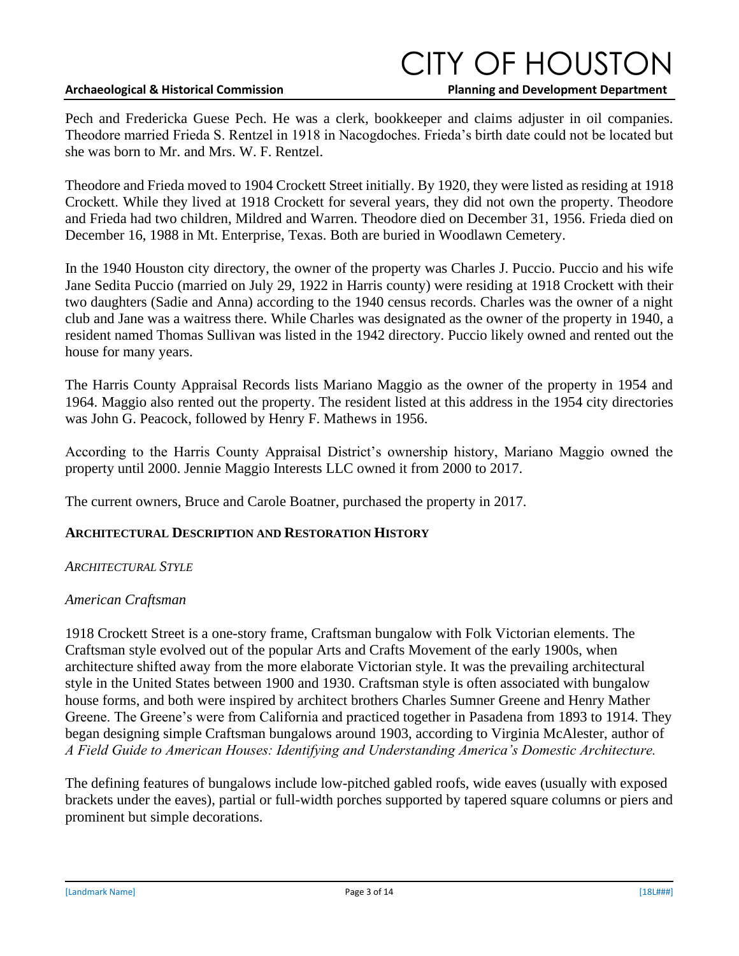#### **Archaeological & Historical Commission \_ \_\_ Planning and Development Department**

### CITY OF HOUSTON

Pech and Fredericka Guese Pech. He was a clerk, bookkeeper and claims adjuster in oil companies. Theodore married Frieda S. Rentzel in 1918 in Nacogdoches. Frieda's birth date could not be located but she was born to Mr. and Mrs. W. F. Rentzel.

Theodore and Frieda moved to 1904 Crockett Street initially. By 1920, they were listed as residing at 1918 Crockett. While they lived at 1918 Crockett for several years, they did not own the property. Theodore and Frieda had two children, Mildred and Warren. Theodore died on December 31, 1956. Frieda died on December 16, 1988 in Mt. Enterprise, Texas. Both are buried in Woodlawn Cemetery.

In the 1940 Houston city directory, the owner of the property was Charles J. Puccio. Puccio and his wife Jane Sedita Puccio (married on July 29, 1922 in Harris county) were residing at 1918 Crockett with their two daughters (Sadie and Anna) according to the 1940 census records. Charles was the owner of a night club and Jane was a waitress there. While Charles was designated as the owner of the property in 1940, a resident named Thomas Sullivan was listed in the 1942 directory. Puccio likely owned and rented out the house for many years.

The Harris County Appraisal Records lists Mariano Maggio as the owner of the property in 1954 and 1964. Maggio also rented out the property. The resident listed at this address in the 1954 city directories was John G. Peacock, followed by Henry F. Mathews in 1956.

According to the Harris County Appraisal District's ownership history, Mariano Maggio owned the property until 2000. Jennie Maggio Interests LLC owned it from 2000 to 2017.

The current owners, Bruce and Carole Boatner, purchased the property in 2017.

### **ARCHITECTURAL DESCRIPTION AND RESTORATION HISTORY**

### *ARCHITECTURAL STYLE*

### *American Craftsman*

1918 Crockett Street is a one-story frame, Craftsman bungalow with Folk Victorian elements. The Craftsman style evolved out of the popular Arts and Crafts Movement of the early 1900s, when architecture shifted away from the more elaborate Victorian style. It was the prevailing architectural style in the United States between 1900 and 1930. Craftsman style is often associated with bungalow house forms, and both were inspired by architect brothers Charles Sumner Greene and Henry Mather Greene. The Greene's were from California and practiced together in Pasadena from 1893 to 1914. They began designing simple Craftsman bungalows around 1903, according to Virginia McAlester, author of *A Field Guide to American Houses: Identifying and Understanding America's Domestic Architecture.* 

The defining features of bungalows include low-pitched gabled roofs, wide eaves (usually with exposed brackets under the eaves), partial or full-width porches supported by tapered square columns or piers and prominent but simple decorations.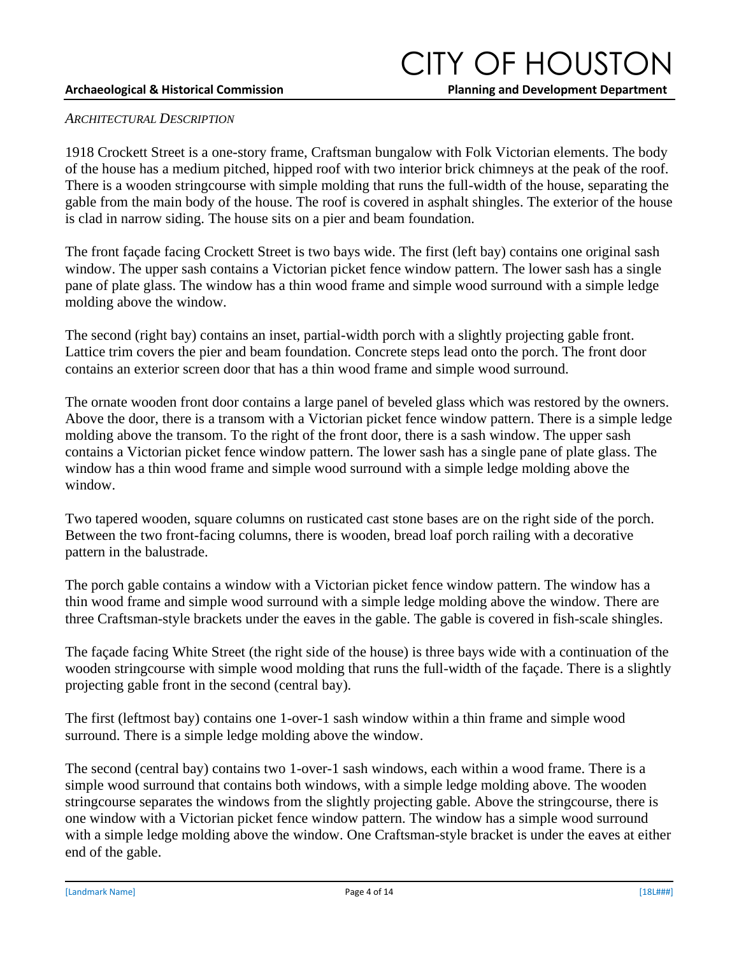## CITY OF HOUSTON

#### *ARCHITECTURAL DESCRIPTION*

1918 Crockett Street is a one-story frame, Craftsman bungalow with Folk Victorian elements. The body of the house has a medium pitched, hipped roof with two interior brick chimneys at the peak of the roof. There is a wooden stringcourse with simple molding that runs the full-width of the house, separating the gable from the main body of the house. The roof is covered in asphalt shingles. The exterior of the house is clad in narrow siding. The house sits on a pier and beam foundation.

The front façade facing Crockett Street is two bays wide. The first (left bay) contains one original sash window. The upper sash contains a Victorian picket fence window pattern. The lower sash has a single pane of plate glass. The window has a thin wood frame and simple wood surround with a simple ledge molding above the window.

The second (right bay) contains an inset, partial-width porch with a slightly projecting gable front. Lattice trim covers the pier and beam foundation. Concrete steps lead onto the porch. The front door contains an exterior screen door that has a thin wood frame and simple wood surround.

The ornate wooden front door contains a large panel of beveled glass which was restored by the owners. Above the door, there is a transom with a Victorian picket fence window pattern. There is a simple ledge molding above the transom. To the right of the front door, there is a sash window. The upper sash contains a Victorian picket fence window pattern. The lower sash has a single pane of plate glass. The window has a thin wood frame and simple wood surround with a simple ledge molding above the window.

Two tapered wooden, square columns on rusticated cast stone bases are on the right side of the porch. Between the two front-facing columns, there is wooden, bread loaf porch railing with a decorative pattern in the balustrade.

The porch gable contains a window with a Victorian picket fence window pattern. The window has a thin wood frame and simple wood surround with a simple ledge molding above the window. There are three Craftsman-style brackets under the eaves in the gable. The gable is covered in fish-scale shingles.

The façade facing White Street (the right side of the house) is three bays wide with a continuation of the wooden stringcourse with simple wood molding that runs the full-width of the façade. There is a slightly projecting gable front in the second (central bay).

The first (leftmost bay) contains one 1-over-1 sash window within a thin frame and simple wood surround. There is a simple ledge molding above the window.

The second (central bay) contains two 1-over-1 sash windows, each within a wood frame. There is a simple wood surround that contains both windows, with a simple ledge molding above. The wooden stringcourse separates the windows from the slightly projecting gable. Above the stringcourse, there is one window with a Victorian picket fence window pattern. The window has a simple wood surround with a simple ledge molding above the window. One Craftsman-style bracket is under the eaves at either end of the gable.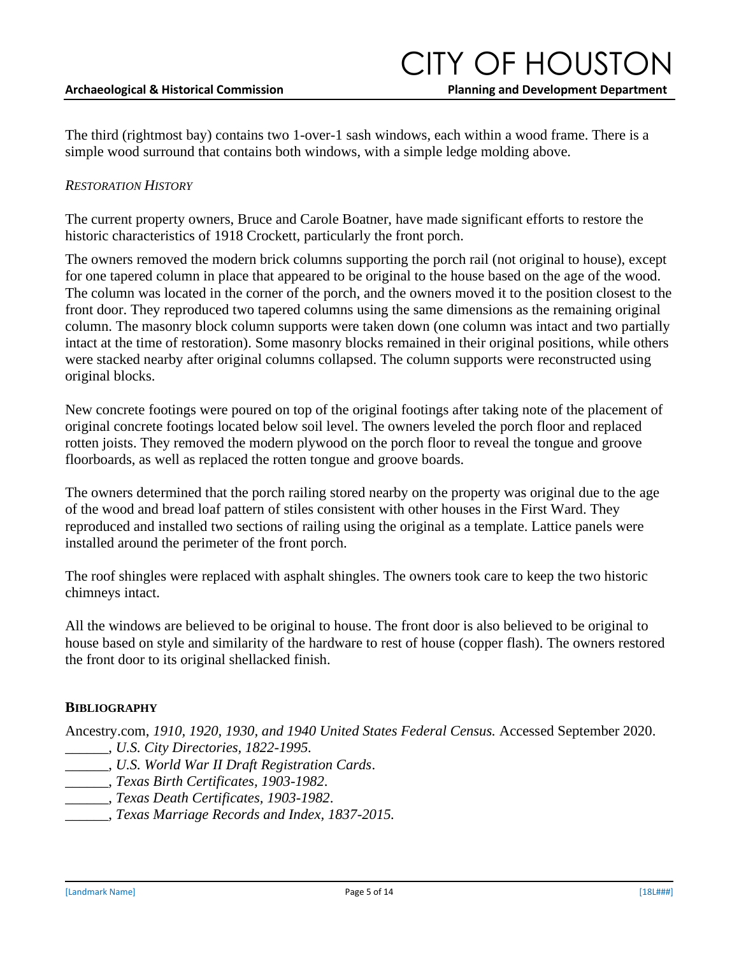The third (rightmost bay) contains two 1-over-1 sash windows, each within a wood frame. There is a simple wood surround that contains both windows, with a simple ledge molding above.

#### *RESTORATION HISTORY*

The current property owners, Bruce and Carole Boatner, have made significant efforts to restore the historic characteristics of 1918 Crockett, particularly the front porch.

The owners removed the modern brick columns supporting the porch rail (not original to house), except for one tapered column in place that appeared to be original to the house based on the age of the wood. The column was located in the corner of the porch, and the owners moved it to the position closest to the front door. They reproduced two tapered columns using the same dimensions as the remaining original column. The masonry block column supports were taken down (one column was intact and two partially intact at the time of restoration). Some masonry blocks remained in their original positions, while others were stacked nearby after original columns collapsed. The column supports were reconstructed using original blocks.

New concrete footings were poured on top of the original footings after taking note of the placement of original concrete footings located below soil level. The owners leveled the porch floor and replaced rotten joists. They removed the modern plywood on the porch floor to reveal the tongue and groove floorboards, as well as replaced the rotten tongue and groove boards.

The owners determined that the porch railing stored nearby on the property was original due to the age of the wood and bread loaf pattern of stiles consistent with other houses in the First Ward. They reproduced and installed two sections of railing using the original as a template. Lattice panels were installed around the perimeter of the front porch.

The roof shingles were replaced with asphalt shingles. The owners took care to keep the two historic chimneys intact.

All the windows are believed to be original to house. The front door is also believed to be original to house based on style and similarity of the hardware to rest of house (copper flash). The owners restored the front door to its original shellacked finish.

#### **BIBLIOGRAPHY**

Ancestry.com, *1910, 1920, 1930, and 1940 United States Federal Census.* Accessed September 2020. \_\_\_\_\_\_, *U.S. City Directories, 1822-1995.* 

- \_\_\_\_\_\_, *U.S. World War II Draft Registration Cards*.
- \_\_\_\_\_\_, *Texas Birth Certificates, 1903-1982*.
- \_\_\_\_\_\_, *Texas Death Certificates, 1903-1982*.
- \_\_\_\_\_\_, *Texas Marriage Records and Index, 1837-2015.*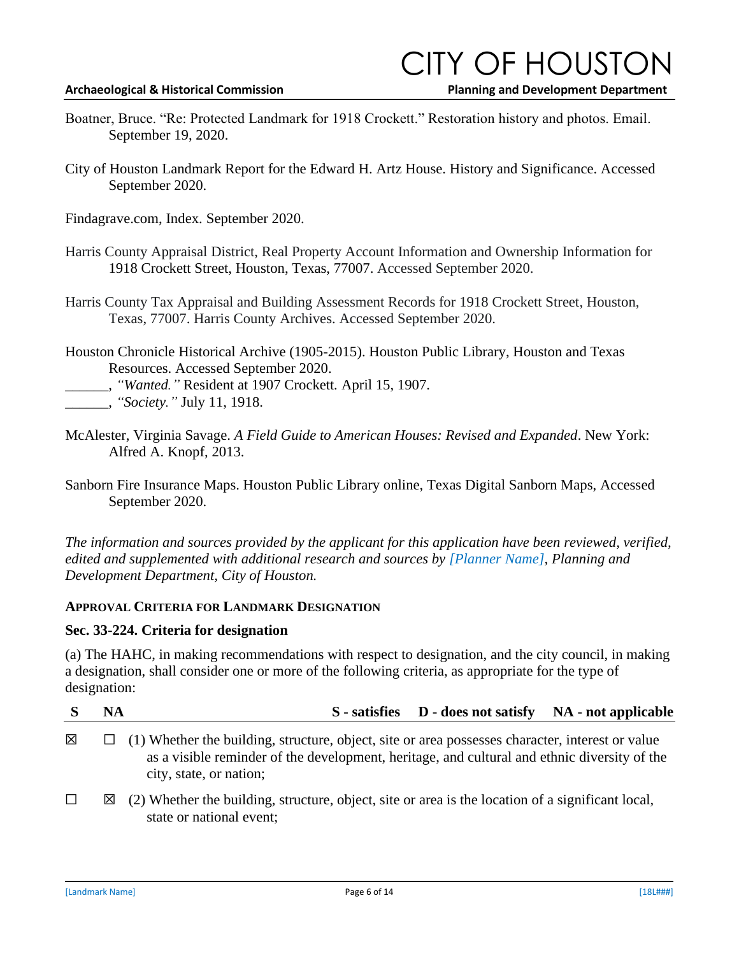### **ITY OF HOUSTC**

**Archaeological & Historical Commission \_ \_\_ Planning and Development Department**

- Boatner, Bruce. "Re: Protected Landmark for 1918 Crockett." Restoration history and photos. Email. September 19, 2020.
- City of Houston Landmark Report for the Edward H. Artz House. History and Significance. Accessed September 2020.
- Findagrave.com, Index. September 2020.
- Harris County Appraisal District, Real Property Account Information and Ownership Information for 1918 Crockett Street, Houston, Texas, 77007. Accessed September 2020.
- Harris County Tax Appraisal and Building Assessment Records for 1918 Crockett Street, Houston, Texas, 77007. Harris County Archives. Accessed September 2020.
- Houston Chronicle Historical Archive (1905-2015). Houston Public Library, Houston and Texas Resources. Accessed September 2020.
- \_\_\_\_\_\_, *"Wanted."* Resident at 1907 Crockett*.* April 15, 1907.

\_\_\_\_\_\_, *"Society."* July 11, 1918.

- McAlester, Virginia Savage. *A Field Guide to American Houses: Revised and Expanded*. New York: Alfred A. Knopf, 2013.
- Sanborn Fire Insurance Maps. Houston Public Library online, Texas Digital Sanborn Maps, Accessed September 2020.

*The information and sources provided by the applicant for this application have been reviewed, verified, edited and supplemented with additional research and sources by [Planner Name], Planning and Development Department, City of Houston.* 

### **APPROVAL CRITERIA FOR LANDMARK DESIGNATION**

### **Sec. 33-224. Criteria for designation**

(a) The HAHC, in making recommendations with respect to designation, and the city council, in making a designation, shall consider one or more of the following criteria, as appropriate for the type of designation:

|        | <b>NA</b> | S - satisfies D - does not satisfy NA - not applicable                                                                                                                                                                             |
|--------|-----------|------------------------------------------------------------------------------------------------------------------------------------------------------------------------------------------------------------------------------------|
| 図      |           | $\Box$ (1) Whether the building, structure, object, site or area possesses character, interest or value<br>as a visible reminder of the development, heritage, and cultural and ethnic diversity of the<br>city, state, or nation; |
| $\Box$ | ⊠         | (2) Whether the building, structure, object, site or area is the location of a significant local,<br>state or national event;                                                                                                      |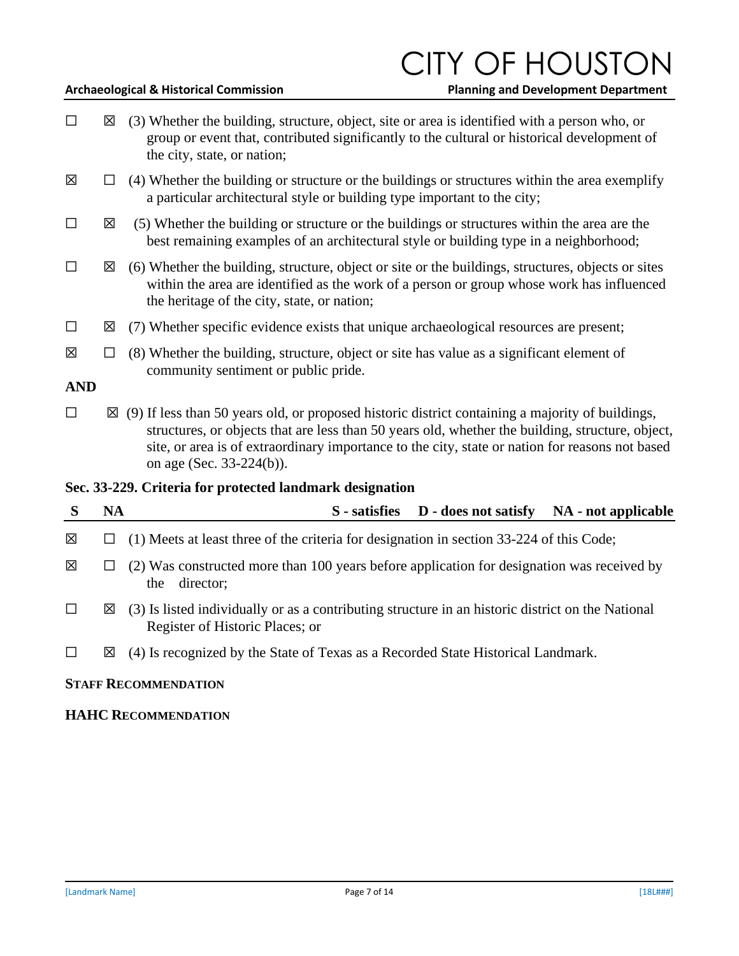### **ITY OF HOUSTO**

**Archaeological & Historical Commission \_ \_\_ Planning and Development Department**

- $\Box$   $\boxtimes$  (3) Whether the building, structure, object, site or area is identified with a person who, or group or event that, contributed significantly to the cultural or historical development of the city, state, or nation;
- $\boxtimes$   $\Box$  (4) Whether the building or structure or the buildings or structures within the area exemplify a particular architectural style or building type important to the city;
- $\Box$   $\boxtimes$  (5) Whether the building or structure or the buildings or structures within the area are the best remaining examples of an architectural style or building type in a neighborhood;
- $\Box$   $\boxtimes$  (6) Whether the building, structure, object or site or the buildings, structures, objects or sites within the area are identified as the work of a person or group whose work has influenced the heritage of the city, state, or nation;
- $\Box$   $\boxtimes$  (7) Whether specific evidence exists that unique archaeological resources are present;
- $\boxtimes$   $\Box$  (8) Whether the building, structure, object or site has value as a significant element of community sentiment or public pride.

**AND**

 $\Box$   $\boxtimes$  (9) If less than 50 years old, or proposed historic district containing a majority of buildings, structures, or objects that are less than 50 years old, whether the building, structure, object, site, or area is of extraordinary importance to the city, state or nation for reasons not based on age (Sec. 33-224(b)).

### **Sec. 33-229. Criteria for protected landmark designation**

| S      | NA | S - satisfies D - does not satisfy NA - not applicable                                                                               |
|--------|----|--------------------------------------------------------------------------------------------------------------------------------------|
| 図      |    | (1) Meets at least three of the criteria for designation in section 33-224 of this Code;                                             |
| 区      |    | (2) Was constructed more than 100 years before application for designation was received by<br>director:<br>the                       |
| $\Box$ | ⊠  | (3) Is listed individually or as a contributing structure in an historic district on the National<br>Register of Historic Places; or |
| $\Box$ | ⊠  | (4) Is recognized by the State of Texas as a Recorded State Historical Landmark.                                                     |

### **STAFF RECOMMENDATION**

### **HAHC RECOMMENDATION**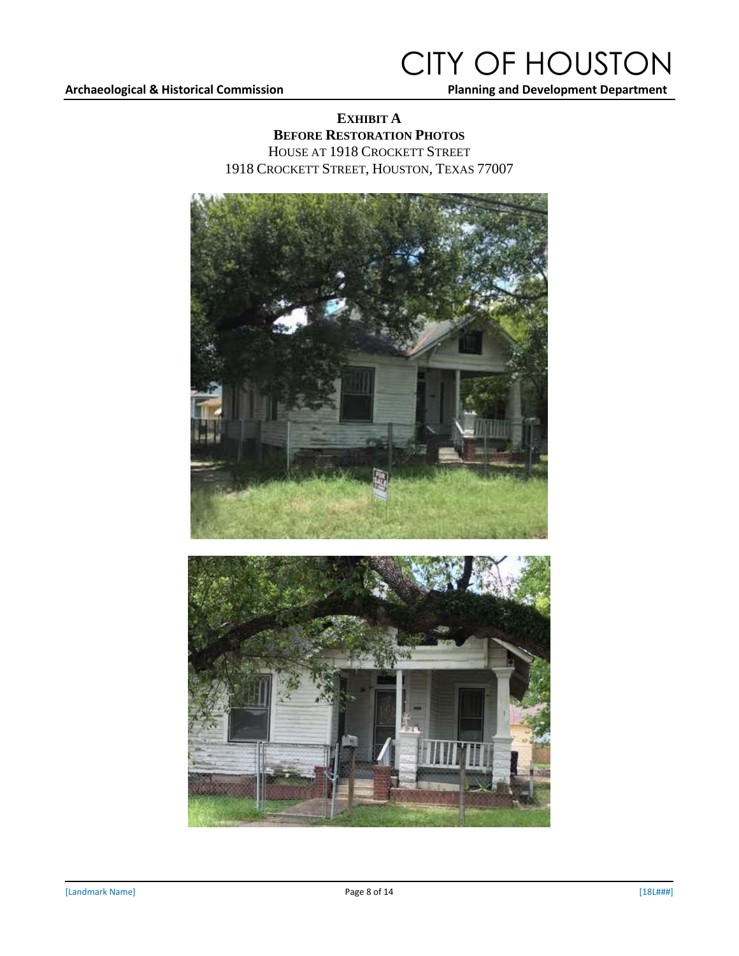### CITY OF HOUSTON

### **EXHIBIT A BEFORE RESTORATION PHOTOS**

HOUSE AT 1918 CROCKETT STREET 1918 CROCKETT STREET, HOUSTON, TEXAS 77007

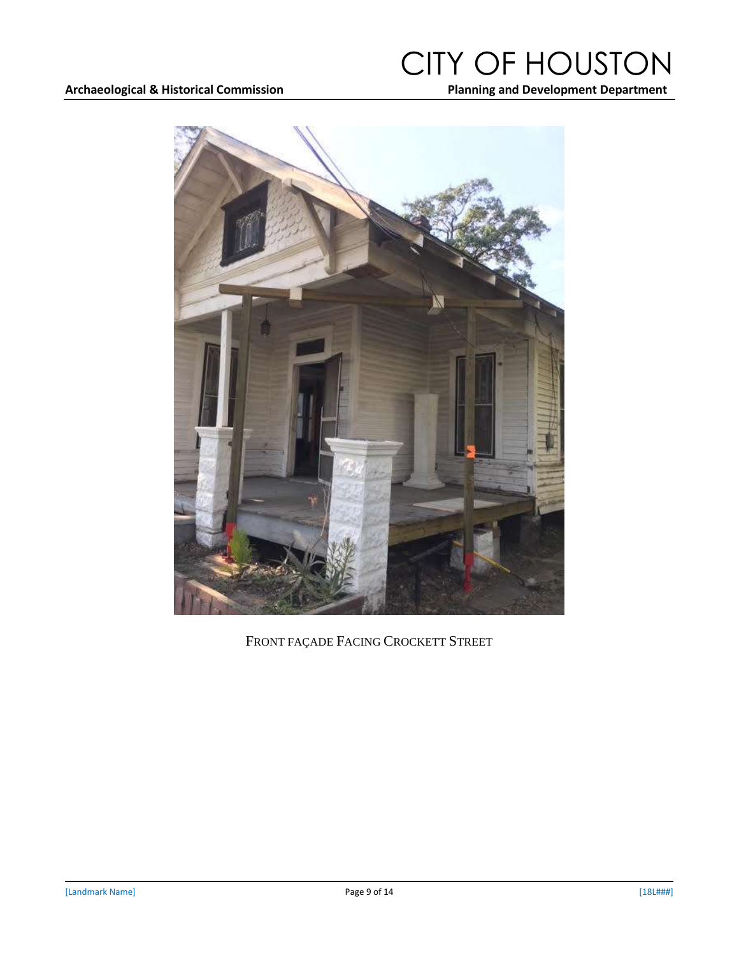### Archaeological & Historical Commission **Number 2018** 2018 Planning and Development Department

## CITY OF HOUSTON



FRONT FAÇADE FACING CROCKETT STREET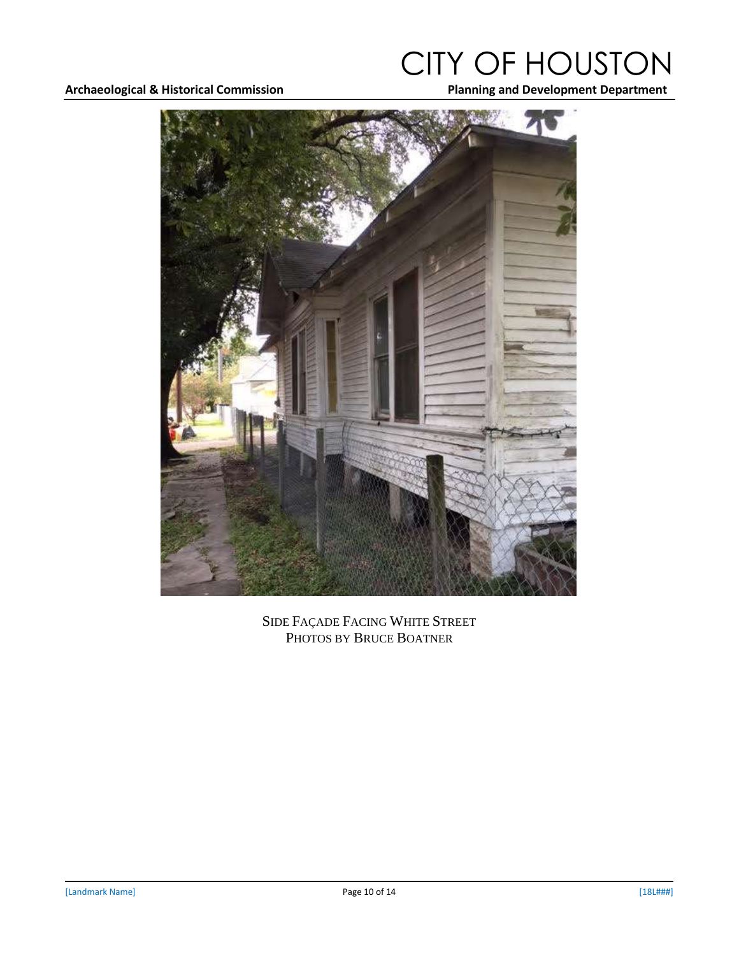### Archaeological & Historical Commission **Number 2018** 2018 Planning and Development Department

# CITY OF HOUSTON



SIDE FAÇADE FACING WHITE STREET PHOTOS BY BRUCE BOATNER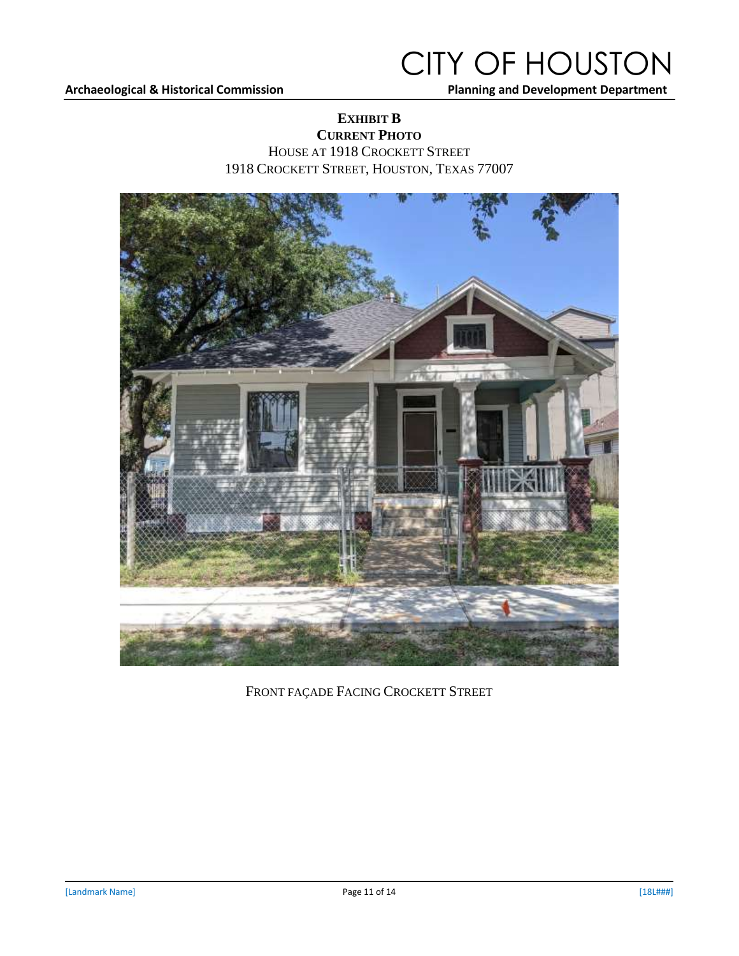#### Archaeological & Historical Commission **Archaeological & Historical Commission Manning and Development Department**

### CITY OF HOUSTON

### **EXHIBIT B CURRENT PHOTO** HOUSE AT 1918 CROCKETT STREET 1918 CROCKETT STREET, HOUSTON, TEXAS 77007



FRONT FAÇADE FACING CROCKETT STREET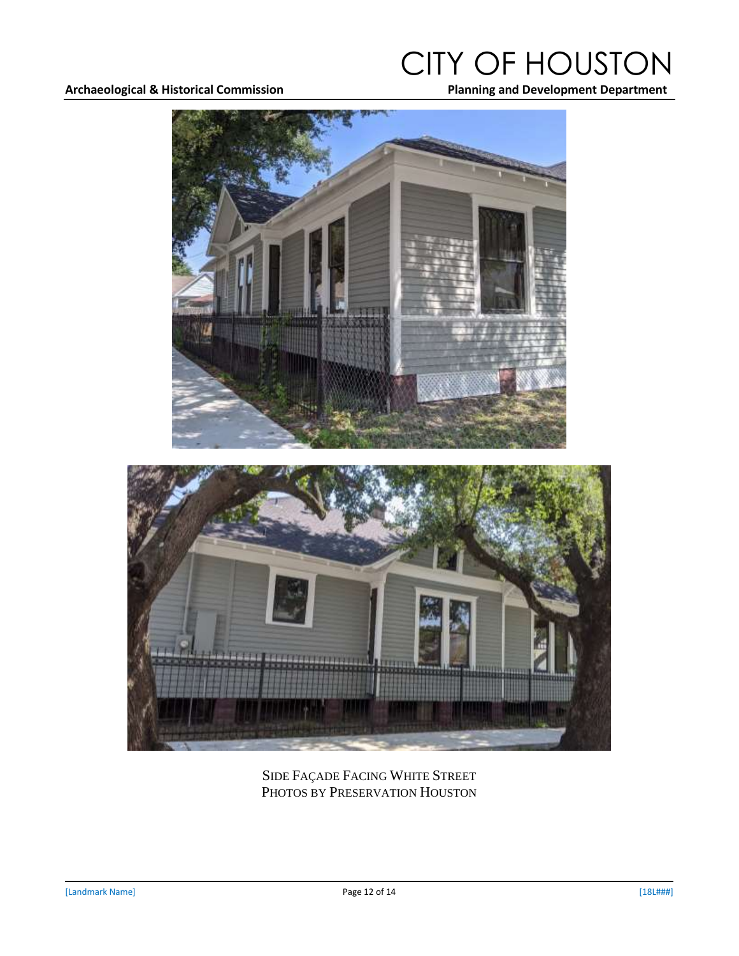### Archaeological & Historical Commission **Archaeological & Historical Commission Manning and Development Department**

# CITY OF HOUSTON



SIDE FAÇADE FACING WHITE STREET PHOTOS BY PRESERVATION HOUSTON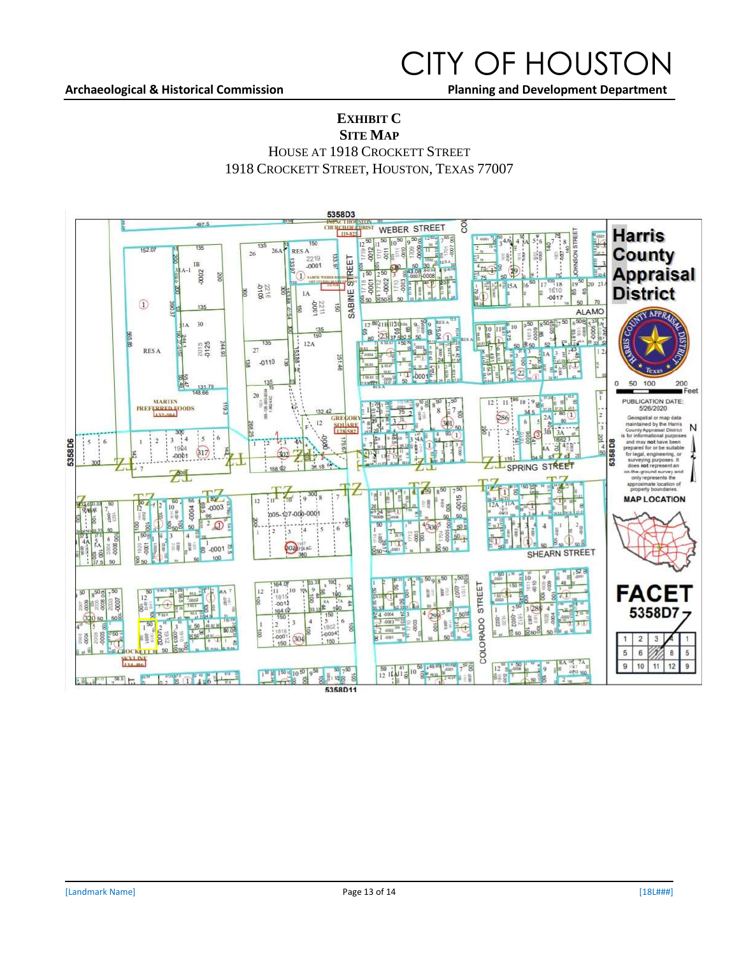#### Archaeological & Historical Commission **Number 2018** 2018 Planning and Development Department

### CITY OF HOUSTON

#### **EXHIBIT C SITE MAP**

HOUSE AT 1918 CROCKETT STREET

1918 CROCKETT STREET, HOUSTON, TEXAS 77007